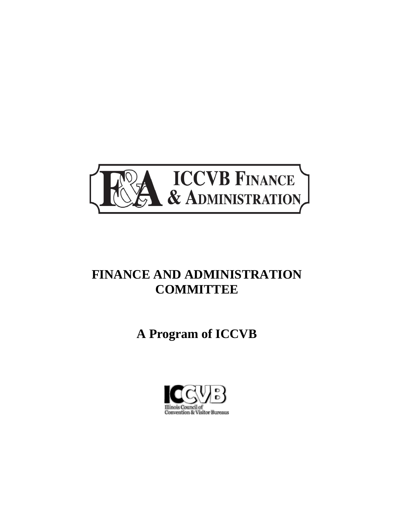

## **FINANCE AND ADMINISTRATION COMMITTEE**

# **A Program of ICCVB**

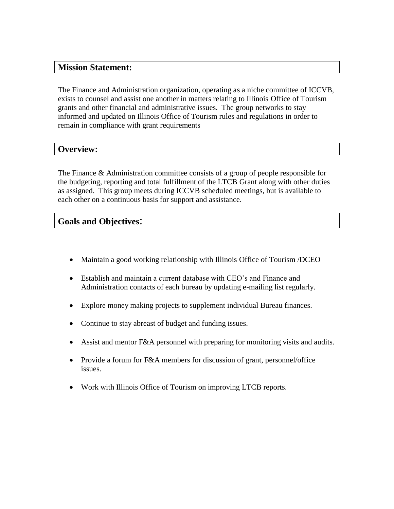#### **Mission Statement:**

The Finance and Administration organization, operating as a niche committee of ICCVB, exists to counsel and assist one another in matters relating to Illinois Office of Tourism grants and other financial and administrative issues. The group networks to stay informed and updated on Illinois Office of Tourism rules and regulations in order to remain in compliance with grant requirements

#### **Overview:**

The Finance & Administration committee consists of a group of people responsible for the budgeting, reporting and total fulfillment of the LTCB Grant along with other duties as assigned. This group meets during ICCVB scheduled meetings, but is available to each other on a continuous basis for support and assistance.

#### **Goals and Objectives**:

- Maintain a good working relationship with Illinois Office of Tourism /DCEO
- Establish and maintain a current database with CEO's and Finance and Administration contacts of each bureau by updating e-mailing list regularly.
- Explore money making projects to supplement individual Bureau finances.
- Continue to stay abreast of budget and funding issues.
- Assist and mentor F&A personnel with preparing for monitoring visits and audits.
- Provide a forum for F&A members for discussion of grant, personnel/office issues.
- Work with Illinois Office of Tourism on improving LTCB reports.